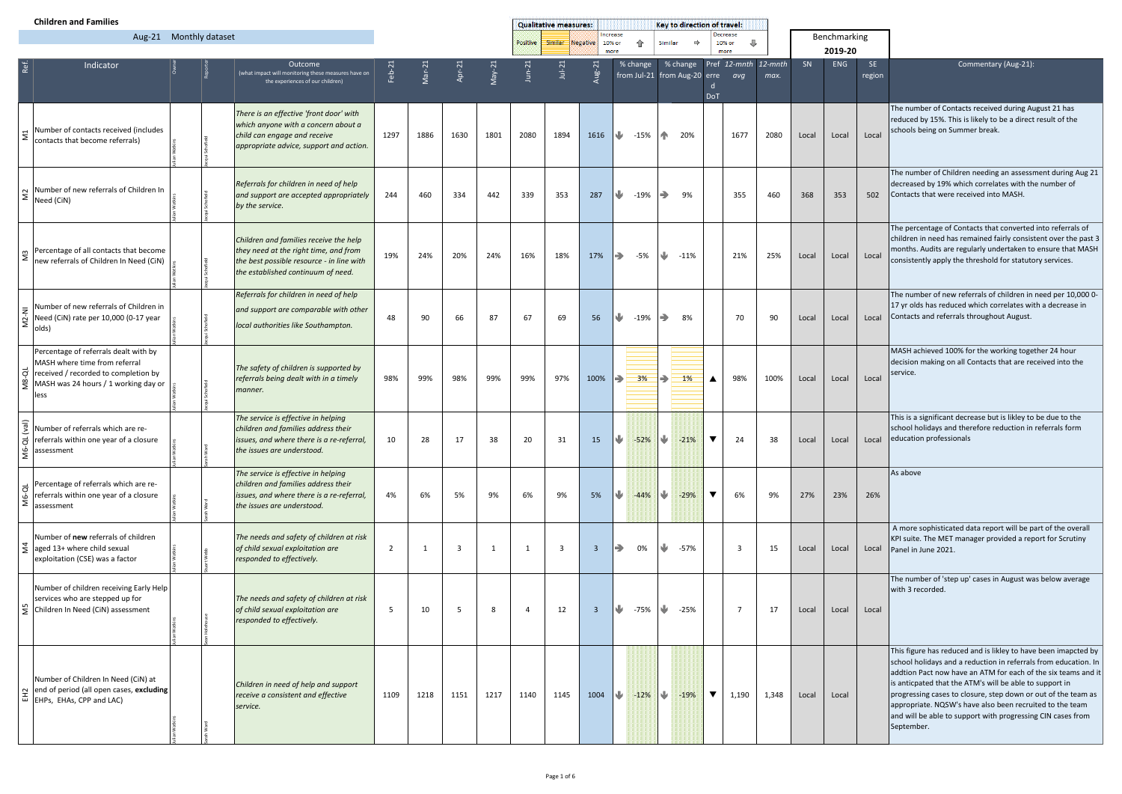|                              | <b>Children and Families</b>                                                                                                                                   |  |                                                                                                                                                                    |      |          |            | <b>Qualitative measures:</b> |                |                         |      | Key to direction of travel:                 |        |                                                           |                      |                      |       |             |              |               |                                                                                                                                                                                                                                                                                                                                                                                                                                                                         |
|------------------------------|----------------------------------------------------------------------------------------------------------------------------------------------------------------|--|--------------------------------------------------------------------------------------------------------------------------------------------------------------------|------|----------|------------|------------------------------|----------------|-------------------------|------|---------------------------------------------|--------|-----------------------------------------------------------|----------------------|----------------------|-------|-------------|--------------|---------------|-------------------------------------------------------------------------------------------------------------------------------------------------------------------------------------------------------------------------------------------------------------------------------------------------------------------------------------------------------------------------------------------------------------------------------------------------------------------------|
| Aug-21 Monthly dataset       |                                                                                                                                                                |  |                                                                                                                                                                    |      |          |            |                              | Positive       | Similar                 |      | Increase<br><b>Negative</b><br>10% or<br>一个 |        | Decrease<br>⊕<br>Similar<br>$\Rightarrow$<br>10% or       |                      |                      |       |             | Benchmarking |               |                                                                                                                                                                                                                                                                                                                                                                                                                                                                         |
|                              |                                                                                                                                                                |  |                                                                                                                                                                    |      |          |            |                              |                |                         |      | more                                        |        |                                                           | more                 |                      |       |             | 2019-20      |               |                                                                                                                                                                                                                                                                                                                                                                                                                                                                         |
| Ref.                         | Indicator                                                                                                                                                      |  | Outcome<br>what impact will monitoring these measures have on<br>the experiences of our children)                                                                  |      | $Mar-21$ | $Apr-2$    |                              | $Jun-21$       | $Jul-21$                |      | % change                                    |        | $%$ change<br>from Jul-21 from Aug-20 erre avg            | <b>DoT</b>           | Pref 12-mnth 12-mnth | max.  | SN          | ENG          | SE.<br>region | Commentary (Aug-21):                                                                                                                                                                                                                                                                                                                                                                                                                                                    |
| $\Xi$                        | Number of contacts received (includes<br>contacts that become referrals)                                                                                       |  | There is an effective 'front door' with<br>which anyone with a concern about a<br>child can engage and receive<br>appropriate advice, support and action.          | 1297 | 1886     | 1630       | 1801                         | 2080           | 1894                    | 1616 | ₩                                           | $-15%$ | $\mathbf{A}$<br>20%                                       |                      | 1677                 | 2080  | Local       | Local        | Local         | The number of Contacts received during August 21 has<br>reduced by 15%. This is likely to be a direct result of the<br>schools being on Summer break.                                                                                                                                                                                                                                                                                                                   |
| $\widetilde{\Xi}$            | Number of new referrals of Children In<br>Need (CiN)                                                                                                           |  | Referrals for children in need of help<br>and support are accepted appropriately<br>by the service.                                                                | 244  | 460      | 334        | 442                          | 339            | 353                     | 287  | ⋓                                           | -19%   | $\Rightarrow$<br>9%                                       |                      | 355                  | 460   | 368         | 353          | 502           | The number of Children needing an assessment during Aug 21<br>decreased by 19% which correlates with the number of<br>Contacts that were received into MASH.                                                                                                                                                                                                                                                                                                            |
| $\widetilde{\Xi}$            | Percentage of all contacts that become<br>new referrals of Children In Need (CiN)                                                                              |  | Children and families receive the help<br>they need at the right time, and from<br>the best possible resource - in line with<br>the established continuum of need. | 19%  | 24%      | 20%        | 24%                          | 16%            | 18%                     | 17%  | $\Rightarrow$                               | -5%    | ⋓<br>$-11%$                                               |                      | 21%                  | 25%   | Local       | Local        | Local         | The percentage of Contacts that converted into referrals of<br>children in need has remained fairly consistent over the past 3<br>months. Audits are regularly undertaken to ensure that MASH<br>consistently apply the threshold for statutory services.                                                                                                                                                                                                               |
| $M2-NI$                      | Number of new referrals of Children in<br>Need (CiN) rate per 10,000 (0-17 year<br>olds)                                                                       |  | Referrals for children in need of help<br>and support are comparable with other<br>local authorities like Southampton.                                             | 48   | 90       | 66         | 87                           | 67             | 69                      | 56   | ⋓                                           | -19%   | $\Rightarrow$<br>8%                                       |                      | 70                   | 90    | Local       | Local        | Local         | The number of new referrals of children in need per 10,000 0-<br>17 yr olds has reduced which correlates with a decrease in<br>Contacts and referrals throughout August.                                                                                                                                                                                                                                                                                                |
| ਰ<br>$\frac{8}{2}$           | Percentage of referrals dealt with by<br>MASH where time from referral<br>received / recorded to completion by<br>MASH was 24 hours / 1 working day or<br>less |  | The safety of children is supported by<br>referrals being dealt with in a timely<br>manner.                                                                        | 98%  | 99%      | 98%        | 99%                          | 99%            | 97%                     | 100% | $\Rightarrow$                               | 3%     | ⇛<br>$1\%$                                                |                      | 98%                  | 100%  | Local       | Local        | Local         | MASH achieved 100% for the working together 24 hour<br>decision making on all Contacts that are received into the<br>service.                                                                                                                                                                                                                                                                                                                                           |
| $\rightarrow$<br><b>M6-Q</b> | Number of referrals which are re-<br>referrals within one year of a closure<br>assessment                                                                      |  | The service is effective in helping<br>children and families address their<br>issues, and where there is a re-referral,<br>the issues are understood.              | 10   | 28       | $17 \quad$ | 38                           | 20             |                         |      |                                             |        | 31 15 $\frac{1}{2}$ -52% $\frac{1}{2}$ -21% $\frac{1}{2}$ |                      | 24                   | 38    | Local Local |              |               | This is a significant decrease but is likley to be due to the<br>school holidays and therefore reduction in referrals form<br>Local education professionals                                                                                                                                                                                                                                                                                                             |
| <b>M6-QL</b>                 | Percentage of referrals which are re-<br>referrals within one year of a closure<br>assessment                                                                  |  | The service is effective in helping<br>children and families address their<br>issues, and where there is a re-referral,<br>the issues are understood.              | 4%   | 6%       | 5%         | 9%                           | 6%             | 9%                      | 5%   | ₩                                           | $-44%$ | $\mathbf{v}$<br>$-29%$                                    | $\blacktriangledown$ | 6%                   | 9%    | 27%         | 23%          | 26%           | As above                                                                                                                                                                                                                                                                                                                                                                                                                                                                |
|                              | Number of new referrals of children<br>$\frac{3}{2}$ aged 13+ where child sexual<br>exploitation (CSE) was a factor                                            |  | The needs and safety of children at risk<br>of child sexual exploitation are<br>responded to effectively.                                                          | 2    |          | 3          | - 1                          | - 1            | $\overline{\mathbf{3}}$ | -3   | $\Rightarrow$                               | 0%     | ⋓<br>-57%                                                 |                      | 3                    | 15    | Local       | Local        | Local         | A more sophisticated data report will be part of the overall<br>KPI suite. The MET manager provided a report for Scrutiny<br>Panel in June 2021.                                                                                                                                                                                                                                                                                                                        |
|                              | Number of children receiving Early Help<br>services who are stepped up for<br>$\frac{10}{5}$ Children In Need (CiN) assessment                                 |  | The needs and safety of children at risk<br>of child sexual exploitation are<br>responded to effectively.                                                          | 5    | 10       | -5         | - 8                          | $\overline{4}$ | 12                      | -3   | ⋓                                           | -75%   | $\mathbf{v}$<br>$-25%$                                    |                      | $\overline{7}$       | 17    | Local       | Local        | Local         | The number of 'step up' cases in August was below average<br>with 3 recorded.                                                                                                                                                                                                                                                                                                                                                                                           |
|                              | Number of Children In Need (CiN) at<br>$\left[\begin{array}{c}\n\sum \\ \Xi\n\end{array}\right]$ end of period (all open cases, <b>excluding</b>               |  | Children in need of help and support<br>receive a consistent and effective<br>service.                                                                             | 1109 | 1218     | 1151       | 1217                         | 1140           | 1145                    | 1004 | ▝ᢘ                                          | $-12%$ | $\blacktriangledown$<br>$-19%$                            | $\blacktriangledown$ | 1,190                | 1,348 | Local       | Local        |               | This figure has reduced and is likley to have been imapcted by<br>school holidays and a reduction in referrals from education. In<br>addtion Pact now have an ATM for each of the six teams and it<br>is anticpated that the ATM's will be able to support in<br>progressing cases to closure, step down or out of the team as<br>appropriate. NQSW's have also been recruited to the team<br>and will be able to support with progressing CIN cases from<br>September. |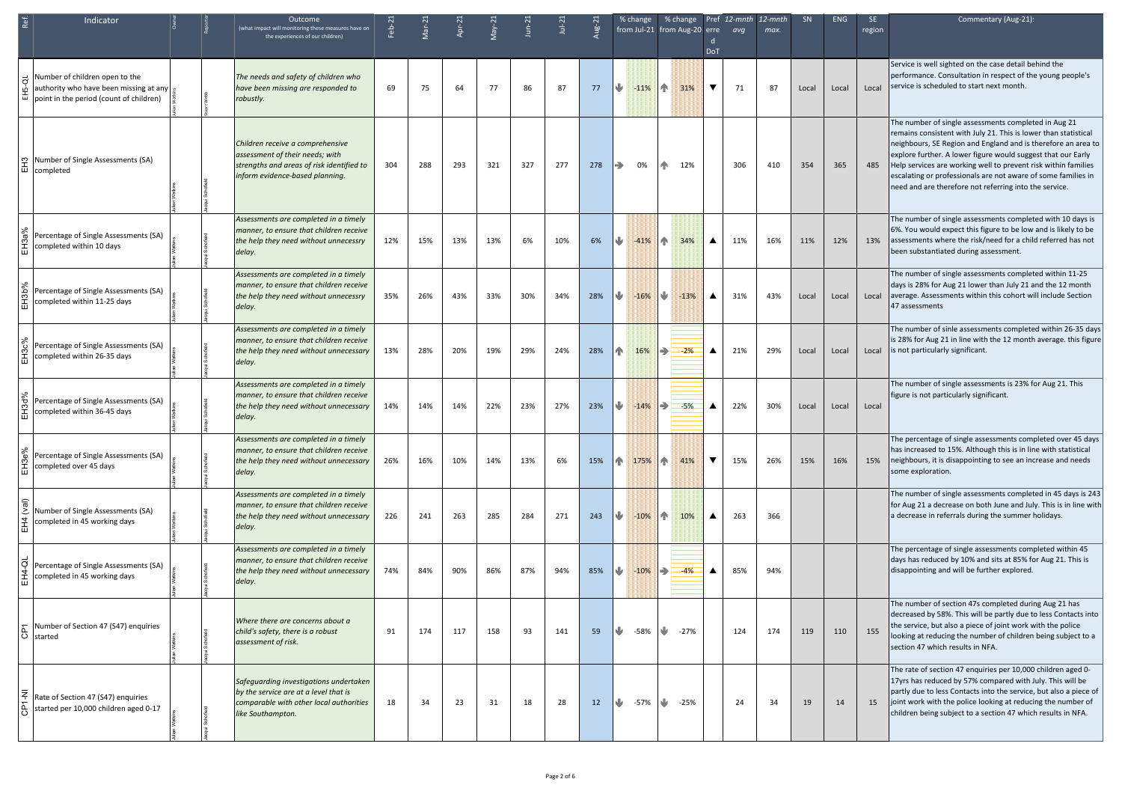|                          | Indicator                                                                                                           | Outcome<br>(what impact will monitoring these measures have on<br>the experiences of our children)                                                  | Feb-2 |     | $\overline{Apr-2}$ |     | $J$ un-2 | $Jul-2$ | <b>Ug-2</b> | % change                                                                                 |                        | % change Pref 12-mnth 12-mnth<br>from Jul-21 from Aug-20 erre avg<br><b>DoT</b> | max. | SN <sub>3</sub> | <b>ENG</b> | SE.<br>region | Commentary (Aug-21):                                                                                                                                                                                                                                                                                                                                                                                                                                  |
|--------------------------|---------------------------------------------------------------------------------------------------------------------|-----------------------------------------------------------------------------------------------------------------------------------------------------|-------|-----|--------------------|-----|----------|---------|-------------|------------------------------------------------------------------------------------------|------------------------|---------------------------------------------------------------------------------|------|-----------------|------------|---------------|-------------------------------------------------------------------------------------------------------------------------------------------------------------------------------------------------------------------------------------------------------------------------------------------------------------------------------------------------------------------------------------------------------------------------------------------------------|
|                          | Number of children open to the<br>authority who have been missing at any<br>point in the period (count of children) | The needs and safety of children who<br>have been missing are responded to<br>robustly.                                                             | 69    | 75  | 64                 | 77  | 86       | 87      | 77          | ₩<br>$-11%$                                                                              | $\mathbf{T}$<br>31%    | $\blacktriangledown$<br>71                                                      | 87   | Local           | Local      | Local         | Service is well sighted on the case detail behind the<br>performance. Consultation in respect of the young people's<br>service is scheduled to start next month.                                                                                                                                                                                                                                                                                      |
|                          | Number of Single Assessments (SA)<br>$\left  \frac{\text{T}}{\text{m}} \right $ completed                           | Children receive a comprehensive<br>assessment of their needs; with<br>strengths and areas of risk identified to<br>inform evidence-based planning. | 304   | 288 | 293                | 321 | 327      | 277     | 278         | $\Rightarrow$<br>0%                                                                      | 12%<br>4N              | 306                                                                             | 410  | 354             | 365        | 485           | The number of single assessments completed in Aug 21<br>remains consistent with July 21. This is lower than statistical<br>neighbours, SE Region and England and is therefore an area to<br>explore further. A lower figure would suggest that our Early<br>Help services are working well to prevent risk within families<br>escalating or professionals are not aware of some families in<br>need and are therefore not referring into the service. |
|                          | Percentage of Single Assessments (SA)<br>completed within 10 days                                                   | Assessments are completed in a timely<br>manner, to ensure that children receive<br>the help they need without unnecessry<br>delay.                 | 12%   | 15% | 13%                | 13% | 6%       | 10%     | 6%          | ⋓<br>$-41%$                                                                              | $\sqrt{N}$<br>34%      | 11%<br>$\blacktriangle$                                                         | 16%  | 11%             | 12%        | 13%           | The number of single assessments completed with 10 days is<br>6%. You would expect this figure to be low and is likely to be<br>assessments where the risk/need for a child referred has not<br>been substantiated during assessment.                                                                                                                                                                                                                 |
|                          | Percentage of Single Assessments (SA)<br>completed within 11-25 days                                                | Assessments are completed in a timely<br>manner, to ensure that children receive<br>the help they need without unnecessry<br>delay.                 | 35%   | 26% | 43%                | 33% | 30%      | 34%     | 28%         | $\mathbf{L}$<br>$-16%$                                                                   | ⋓<br>$-13%$            | 31%<br>$\blacktriangle$                                                         | 43%  | Local           | Local      | Local         | The number of single assessments completed within 11-25<br>days is 28% for Aug 21 lower than July 21 and the 12 month<br>average. Assessments within this cohort will include Section<br>47 assessments                                                                                                                                                                                                                                               |
|                          | Percentage of Single Assessments (SA)<br>completed within 26-35 days                                                | Assessments are completed in a timely<br>manner, to ensure that children receive<br>the help they need without unnecessary<br>delay.                | 13%   | 28% | 20%                | 19% | 29%      | 24%     | 28%         | $\mathbf{R}$<br>16%                                                                      | $\Rightarrow$<br>$-2%$ | 21%<br>$\blacktriangle$                                                         | 29%  | Local           | Local      | Local         | The number of sinle assessments completed within 26-35 days<br>is 28% for Aug 21 in line with the 12 month average. this figure<br>is not particularly significant.                                                                                                                                                                                                                                                                                   |
|                          | Percentage of Single Assessments (SA)<br>completed within 36-45 days                                                | Assessments are completed in a timely<br>manner, to ensure that children receive<br>the help they need without unnecessary<br>delay.                | 14%   | 14% | 14%                | 22% | 23%      | 27%     | 23%         | ₩<br>$-14%$                                                                              | $\Rightarrow$<br>$-5%$ | 22%<br>$\blacktriangle$                                                         | 30%  | Local           | Local      | Local         | The number of single assessments is 23% for Aug 21. This<br>figure is not particularly significant.                                                                                                                                                                                                                                                                                                                                                   |
| ஃ                        | Percentage of Single Assessments (SA)<br>completed over 45 days                                                     | Assessments are completed in a timely<br>manner, to ensure that children receive<br>the help they need without unnecessary<br>delay.                | 26%   | 16% | 10%                | 14% | 13%      | 6%      | 15%         | $\left  \bigcap_{i=1}^{\infty} 175\% \right  \left  \bigcap_{i=1}^{\infty} 41\% \right $ |                        | $\blacktriangledown$<br>15%                                                     | 26%  | 15%             | 16%        | 15%           | The percentage of single assessments completed over 45 days<br>has increased to 15%. Although this is in line with statistical<br>neighbours, it is disappointing to see an increase and needs<br>some exploration.                                                                                                                                                                                                                                   |
| $\frac{1}{4}$            | Number of Single Assessments (SA)<br>completed in 45 working days                                                   | Assessments are completed in a timely<br>manner, to ensure that children receive<br>the help they need without unnecessary<br>delay.                | 226   | 241 | 263                | 285 | 284      | 271     | 243         | ₩<br>$-10%$                                                                              | $\mathbf{T}$<br>10%    | 263<br>$\blacktriangle$                                                         | 366  |                 |            |               | The number of single assessments completed in 45 days is 243<br>for Aug 21 a decrease on both June and July. This is in line with<br>a decrease in referrals during the summer holidays.                                                                                                                                                                                                                                                              |
|                          | Percentage of Single Assessments (SA)<br>completed in 45 working days                                               | Assessments are completed in a timely<br>manner, to ensure that children receive<br>the help they need without unnecessary<br>delay.                | 74%   | 84% | 90%                | 86% | 87%      | 94%     | 85%         | $\mathbf{L}$<br>$-10\%$                                                                  | $-4%$                  | 85%<br>$\blacktriangle$                                                         | 94%  |                 |            |               | The percentage of single assessments completed within 45<br>days has reduced by 10% and sits at 85% for Aug 21. This is<br>disappointing and will be further explored.                                                                                                                                                                                                                                                                                |
| $ \overline{O} $ started | Number of Section 47 (S47) enquiries                                                                                | Where there are concerns about a<br>child's safety, there is a robust<br>assessment of risk.                                                        | 91    | 174 | 117                | 158 | 93       | 141     | 59          | ⋓<br>-58%                                                                                | $\frac{1}{27\%}$       | 124                                                                             | 174  | 119             | 110        | 155           | The number of section 47s completed during Aug 21 has<br>decreased by 58%. This will be partly due to less Contacts into<br>the service, but also a piece of joint work with the police<br>looking at reducing the number of children being subject to a<br>section 47 which results in NFA.                                                                                                                                                          |
|                          | Rate of Section 47 (S47) enquiries<br>started per 10,000 children aged 0-17                                         | Safeguarding investigations undertaken<br>by the service are at a level that is<br>comparable with other local authorities<br>like Southampton.     | 18    | 34  | 23                 | 31  | 18       | 28      | 12          | $\frac{1}{2}$ -57% $\frac{1}{2}$ -25%                                                    |                        | 24                                                                              | 34   | 19              | 14         | 15            | The rate of section 47 enquiries per 10,000 children aged 0-<br>17yrs has reduced by 57% compared with July. This will be<br>partly due to less Contacts into the service, but also a piece of<br>joint work with the police looking at reducing the number of<br>children being subject to a section 47 which results in NFA.                                                                                                                        |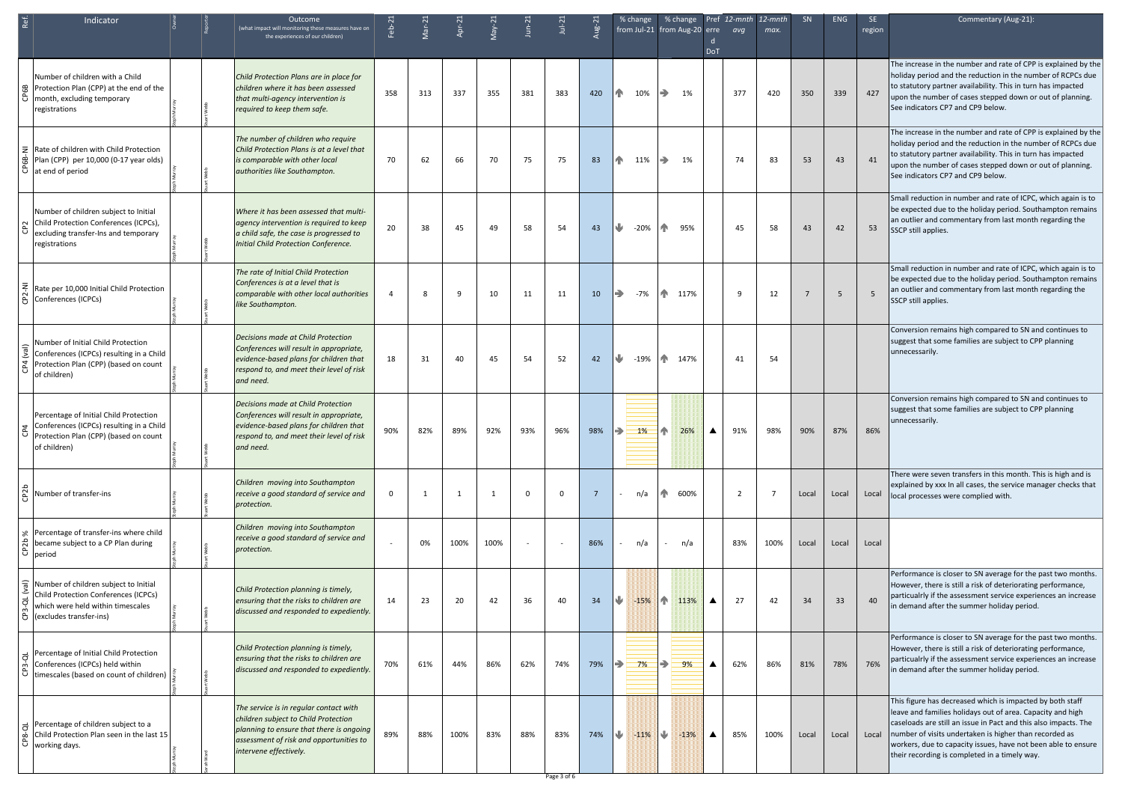| Ref.                         | Indicator                                                                                                                                     |  | Outcome<br>(what impact will monitoring these measures have on                                                                                                                                  |          | $Mar-2$ |              |      | $J$ un- $2$ | $Jul-2$                  |     |               | % change | % change Pref 12-mnth 12-mnth<br>from Jul-21 from Aug-20 erre |                  | avq            | max. | SN             | <b>ENG</b> | SE.<br>region | Commentary (Aug-21):                                                                                                                                                                                                                                                                                                                                                         |
|------------------------------|-----------------------------------------------------------------------------------------------------------------------------------------------|--|-------------------------------------------------------------------------------------------------------------------------------------------------------------------------------------------------|----------|---------|--------------|------|-------------|--------------------------|-----|---------------|----------|---------------------------------------------------------------|------------------|----------------|------|----------------|------------|---------------|------------------------------------------------------------------------------------------------------------------------------------------------------------------------------------------------------------------------------------------------------------------------------------------------------------------------------------------------------------------------------|
|                              |                                                                                                                                               |  | the experiences of our children)                                                                                                                                                                |          |         |              |      |             |                          |     |               |          |                                                               | <b>DoT</b>       |                |      |                |            |               |                                                                                                                                                                                                                                                                                                                                                                              |
| 6B<br>පි                     | Number of children with a Child<br>Protection Plan (CPP) at the end of the<br>month, excluding temporary<br>registrations                     |  | Child Protection Plans are in place for<br>children where it has been assessed<br>that multi-agency intervention is<br>required to keep them safe.                                              | 358      | 313     | 337          | 355  | 381         | 383                      | 420 | $\mathbb{R}$  | 10%      | $\Rightarrow$<br>1%                                           |                  | 377            | 420  | 350            | 339        | 427           | The increase in the number and rate of CPP is explained by the<br>holiday period and the reduction in the number of RCPCs due<br>to statutory partner availability. This in turn has impacted<br>upon the number of cases stepped down or out of planning.<br>See indicators CP7 and CP9 below.                                                                              |
| $\bar{z}$<br>த்              | Rate of children with Child Protection<br>Plan (CPP) per 10,000 (0-17 year olds)<br>$\hat{\theta}$ at end of period                           |  | The number of children who require<br>Child Protection Plans is at a level that<br>is comparable with other local<br>authorities like Southampton.                                              | 70       | 62      | 66           | 70   | 75          | 75                       | 83  | Æ.            | 11%      | $\Rightarrow$<br>1%                                           |                  | 74             | 83   | 53             | 43         | 41            | The increase in the number and rate of CPP is explained by the<br>holiday period and the reduction in the number of RCPCs due<br>to statutory partner availability. This in turn has impacted<br>upon the number of cases stepped down or out of planning.<br>See indicators CP7 and CP9 below.                                                                              |
| CP <sub>2</sub>              | Number of children subject to Initial<br>Child Protection Conferences (ICPCs),<br>excluding transfer-Ins and temporary<br>registrations       |  | Where it has been assessed that multi-<br>agency intervention is required to keep<br>a child safe, the case is progressed to<br>Initial Child Protection Conference.                            | 20       | 38      | 45           | 49   | 58          | 54                       | 43  | ⋓             | $-20%$   | H <sub>N</sub><br>95%                                         |                  | 45             | 58   | 43             | 42         | 53            | Small reduction in number and rate of ICPC, which again is to<br>be expected due to the holiday period. Southampton remains<br>an outlier and commentary from last month regarding the<br>SSCP still applies.                                                                                                                                                                |
| z<br>CP <sub>2</sub>         | Rate per 10,000 Initial Child Protection<br>Conferences (ICPCs)                                                                               |  | The rate of Initial Child Protection<br>Conferences is at a level that is<br>comparable with other local authorities<br>like Southampton.                                                       |          | 8       | 9            | 10   | 11          | 11                       | 10  | $\Rightarrow$ | -7%      | $\mathbf{A}$<br>117%                                          |                  | -9             | 12   | $\overline{7}$ | 5          |               | Small reduction in number and rate of ICPC, which again is to<br>be expected due to the holiday period. Southampton remains<br>an outlier and commentary from last month regarding the<br>SSCP still applies.                                                                                                                                                                |
| CP4                          | Number of Initial Child Protection<br>Conferences (ICPCs) resulting in a Child<br>Protection Plan (CPP) (based on count<br>of children)       |  | Decisions made at Child Protection<br>Conferences will result in appropriate,<br>evidence-based plans for children that<br>respond to, and meet their level of risk<br>and need.                | 18       | 31      | 40           | 45   | 54          | 52                       | 42  | ⋓             |          | $-19\%$ 147%                                                  |                  | 41             | 54   |                |            |               | Conversion remains high compared to SN and continues to<br>suggest that some families are subject to CPP planning<br>unnecessarily.                                                                                                                                                                                                                                          |
|                              | Percentage of Initial Child Protection<br>Conferences (ICPCs) resulting in a Child<br>Protection Plan (CPP) (based on count<br>of children)   |  | Decisions made at Child Protection<br>Conferences will result in appropriate,<br>evidence-based plans for children that<br>respond to, and meet their level of risk<br>and need.                | 90%      | 82%     | 89%          | 92%  | 93%         | 96%                      | 98% | $\Rightarrow$ | $1\%$    | $\hat{\mathbb{T}}$<br>26%                                     | $\blacktriangle$ | 91%            | 98%  | 90%            | 87%        | 86%           | Conversion remains high compared to SN and continues to<br>suggest that some families are subject to CPP planning<br>unnecessarily.                                                                                                                                                                                                                                          |
| CP <sub>2b</sub>             | Number of transfer-ins                                                                                                                        |  | Children moving into Southampton<br>receive a good standard of service and<br>protection.                                                                                                       | $\Omega$ |         | $\mathbf{1}$ |      | $\Omega$    | $\mathbf{0}$             | - 7 |               | n/a      | $\mathbf{T}$<br>600%                                          |                  | $\overline{2}$ | 7    | Local          | Local      | Local         | There were seven transfers in this month. This is high and is<br>explained by xxx In all cases, the service manager checks that<br>local processes were complied with.                                                                                                                                                                                                       |
| CP2b                         | & Percentage of transfer-ins where child<br>became subject to a CP Plan during<br>period                                                      |  | Children moving into Southampton<br>receive a good standard of service and<br>protection.                                                                                                       |          | 0%      | 100%         | 100% |             | $\overline{\phantom{a}}$ | 86% |               | n/a      | n/a                                                           |                  | 83%            | 100% | Local          | Local      | Local         |                                                                                                                                                                                                                                                                                                                                                                              |
| $(\overline{A})$<br>$CP3-QL$ | Number of children subject to Initial<br>Child Protection Conferences (ICPCs)<br>which were held within timescales<br>(excludes transfer-ins) |  | Child Protection planning is timely,<br>ensuring that the risks to children are<br>discussed and responded to expediently.                                                                      | 14       | 23      | 20           | 42   | 36          | 40                       | 34  |               | $-15%$   | $\mathbf{T}$<br>113%                                          | $\blacktriangle$ | 27             | 42   | 34             | 33         | 40            | Performance is closer to SN average for the past two months.<br>However, there is still a risk of deteriorating performance,<br>particualrly if the assessment service experiences an increase<br>in demand after the summer holiday period.                                                                                                                                 |
| $\vec{\sigma}$<br>CP3-       | Percentage of Initial Child Protection<br>Conferences (ICPCs) held within<br>timescales (based on count of children)                          |  | Child Protection planning is timely,<br>ensuring that the risks to children are<br>discussed and responded to expediently.                                                                      | 70%      | 61%     | 44%          | 86%  | 62%         | 74%                      | 79% |               | 7%       | $\Rightarrow$<br>9%                                           | $\blacktriangle$ | 62%            | 86%  | 81%            | 78%        | 76%           | Performance is closer to SN average for the past two months.<br>However, there is still a risk of deteriorating performance,<br>particualrly if the assessment service experiences an increase<br>in demand after the summer holiday period.                                                                                                                                 |
| $CP8-$                       | Percentage of children subject to a<br>Child Protection Plan seen in the last 15<br>working days.                                             |  | The service is in regular contact with<br>children subject to Child Protection<br>planning to ensure that there is ongoing<br>assessment of risk and opportunities to<br>intervene effectively. | 89%      | 88%     | 100%         | 83%  | 88%         | 83%                      | 74% | U             | $-11%$   | I W<br>$-13%$                                                 | $\blacktriangle$ | 85%            | 100% | Local          | Local      |               | This figure has decreased which is impacted by both staff<br>leave and families holidays out of area. Capacity and high<br>caseloads are still an issue in Pact and this also impacts. The<br>Local number of visits undertaken is higher than recorded as<br>workers, due to capacity issues, have not been able to ensure<br>their recording is completed in a timely way. |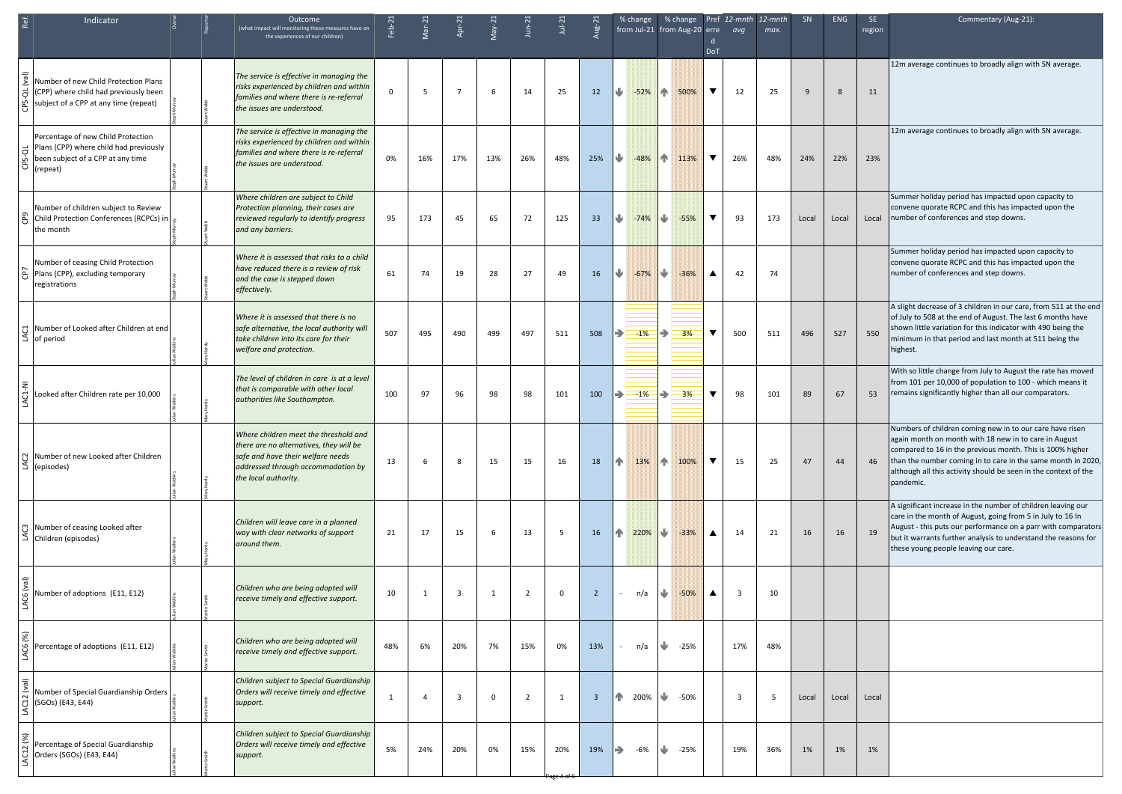| Ref.<br>Indicator                                                                                                                          | Outcome<br>(what impact will monitoring these measures have on<br>the experiences of our children)                                                                                  | $Feb-2$      | $\sqrt{ar-2}$  | Apr-2                   |     | $J$ un- $2$    | $Jul-2$         |                | % change                | % change<br>from Jul-21 from Aug-20 erre avg | <b>DoT</b>           | Pref 12-mnth 12-mnth    | max. | <b>SN</b> | <b>ENG</b> | -SE<br>region | Commentary (Aug-21):                                                                                                                                                                                                                                                                                                           |
|--------------------------------------------------------------------------------------------------------------------------------------------|-------------------------------------------------------------------------------------------------------------------------------------------------------------------------------------|--------------|----------------|-------------------------|-----|----------------|-----------------|----------------|-------------------------|----------------------------------------------|----------------------|-------------------------|------|-----------|------------|---------------|--------------------------------------------------------------------------------------------------------------------------------------------------------------------------------------------------------------------------------------------------------------------------------------------------------------------------------|
| Number of new Child Protection Plans<br>ಕ<br>(CPP) where child had previously been<br>ჭ<br>მ<br>subject of a CPP at any time (repeat)      | The service is effective in managing the<br>risks experienced by children and within<br>families and where there is re-referral<br>the issues are understood.                       | $\Omega$     | -5             | $\overline{7}$          | 6   | 14             | 25              | 12             | $-52%$<br>IV            | $\mathbf{T}$<br>500%                         | $\blacktriangledown$ | 12                      | 25   | 9         | 8          | 11            | 12m average continues to broadly align with SN average.                                                                                                                                                                                                                                                                        |
| Percentage of new Child Protection<br>Plans (CPP) where child had previously<br>ಕ<br>been subject of a CPP at any time<br>ርP5-<br>(repeat) | The service is effective in managing the<br>risks experienced by children and within<br>families and where there is re-referral<br>the issues are understood.                       | 0%           | 16%            | 17%                     | 13% | 26%            | 48%             | 25%            | $-48%$                  | $\mathbf{T}$<br>113%                         | $\blacktriangledown$ | 26%                     | 48%  | 24%       | 22%        | 23%           | 12m average continues to broadly align with SN average.                                                                                                                                                                                                                                                                        |
| Number of children subject to Review<br>CP9<br>Child Protection Conferences (RCPCs) in<br>the month                                        | Where children are subject to Child<br>Protection planning, their cases are<br>reviewed regularly to identify progress<br>and any barriers.                                         | 95           | 173            | 45                      | 65  | 72             | 125             | 33             | ₩<br>$-74%$             | $\blacktriangleright$<br>$-55%$              | $\blacktriangledown$ | 93                      | 173  | Local     | Local      | Local         | Summer holiday period has impacted upon capacity to<br>convene quorate RCPC and this has impacted upon the<br>number of conferences and step downs.                                                                                                                                                                            |
| Number of ceasing Child Protection<br>Plans (CPP), excluding temporary<br>registrations                                                    | Where it is assessed that risks to a child<br>have reduced there is a review of risk<br>and the case is stepped down<br>effectively.                                                | 61           | 74             | 19                      | 28  | 27             | 49              | 16             | IV<br>$-67%$            | ⋓<br>$-36%$                                  | ▲                    | 42                      | 74   |           |            |               | Summer holiday period has impacted upon capacity to<br>convene quorate RCPC and this has impacted upon the<br>number of conferences and step downs.                                                                                                                                                                            |
| 员 Number of Looked after Children at end<br>$\leq$ of period                                                                               | Where it is assessed that there is no<br>safe alternative, the local authority will<br>take children into its care for their<br>welfare and protection.                             | 507          | 495            | 490                     | 499 | 497            | 511             | 508            | $-1\%$<br>$\Rightarrow$ | ⇛<br>3%                                      | $\blacktriangledown$ | 500                     | 511  | 496       | 527        | 550           | A slight decrease of 3 children in our care, from 511 at the end<br>of July to 508 at the end of August. The last 6 months have<br>shown little variation for this indicator with 490 being the<br>minimum in that period and last month at 511 being the<br>highest.                                                          |
| Ę<br>ਹੰ<br>Looked after Children rate per 10,000                                                                                           | The level of children in care is at a level<br>that is comparable with other local<br>authorities like Southampton.                                                                 | 100          | 97             | 96                      | 98  | 98             | 101             | 100            | ID<br>$-1%$             | $\Rightarrow$<br>3%                          | $\blacktriangledown$ | 98                      | 101  | 89        | 67         | 53            | With so little change from July to August the rate has moved<br>from 101 per 10,000 of population to 100 - which means it<br>remains significantly higher than all our comparators.                                                                                                                                            |
| ္ပြ Number of new Looked after Children<br>$\leq$ (episodes)                                                                               | Where children meet the threshold and<br>there are no alternatives, they will be<br>safe and have their welfare needs<br>addressed through accommodation by<br>the local authority. | 13           | 6              | 8                       | 15  | 15             | 16              | 18             | <b>In</b><br>13%        | $\mathbf{r}$<br>100%                         | $\blacktriangledown$ | 15                      | 25   | 47        | 44         | 46            | Numbers of children coming new in to our care have risen<br>again month on month with 18 new in to care in August<br>compared to 16 in the previous month. This is 100% higher<br>than the number coming in to care in the same month in 2020,<br>although all this activity should be seen in the context of the<br>pandemic. |
| ကျ Number of ceasing Looked after<br>$\leq$ Children (episodes)                                                                            | Children will leave care in a planned<br>way with clear networks of support<br>around them.                                                                                         | 21           | 17             | 15                      | 6   | 13             | $5\overline{5}$ | 16             | 220%<br>In              | $-33%$                                       | $\blacktriangle$     | 14                      | 21   | 16        | 16         | 19            | A significant increase in the number of children leaving our<br>care in the month of August, going from 5 in July to 16 In<br>August - this puts our performance on a parr with comparators<br>but it warrants further analysis to understand the reasons for<br>these young people leaving our care.                          |
| LAC6 (val)<br>Number of adoptions (E11, E12)                                                                                               | Children who are being adopted will<br>receive timely and effective support.                                                                                                        | 10           | $\overline{1}$ | $\overline{\mathbf{3}}$ | 1   | 2              | $\mathbf 0$     | $\overline{2}$ | n/a                     | ⋓<br>$-50%$                                  | $\blacktriangle$     | $\overline{\mathbf{3}}$ | 10   |           |            |               |                                                                                                                                                                                                                                                                                                                                |
| $(%)$<br>LAC6<br>Percentage of adoptions (E11, E12)                                                                                        | Children who are being adopted will<br>receive timely and effective support.                                                                                                        | 48%          | 6%             | 20%                     | 7%  | 15%            | 0%              | 13%            | n/a                     | ⋓<br>$-25%$                                  |                      | 17%                     | 48%  |           |            |               |                                                                                                                                                                                                                                                                                                                                |
| $(\overline{\mathsf{len}})$<br>Number of Special Guardianship Orders<br>LAC12<br>(SGOs) (E43, E44)                                         | Children subject to Special Guardianship<br>Orders will receive timely and effective<br>support.                                                                                    | $\mathbf{1}$ | 4              | -3                      | 0   | $\overline{2}$ | 1               | -3             | 200%<br>In              | $\sqrt{2}$<br>-50%                           |                      | $\overline{\mathbf{3}}$ | -5   | Local     | Local      | Local         |                                                                                                                                                                                                                                                                                                                                |
| LAC12 (%)<br>Percentage of Special Guardianship<br>Orders (SGOs) (E43, E44)                                                                | Children subject to Special Guardianship<br>Orders will receive timely and effective<br>support.                                                                                    | 5%           | 24%            | 20%                     | 0%  | 15%            | 20%             | 19%            | $\Rightarrow$<br>-6%    | ⋓<br>$-25%$                                  |                      | 19%                     | 36%  | 1%        | 1%         | 1%            |                                                                                                                                                                                                                                                                                                                                |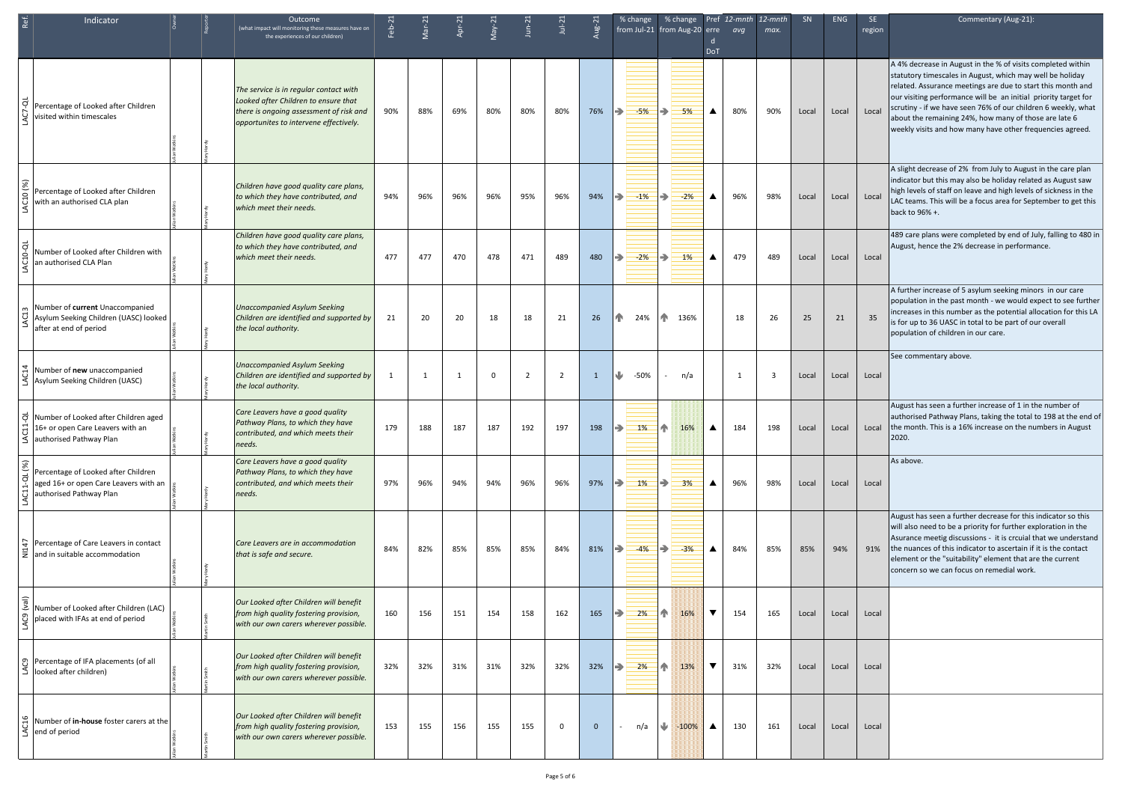| Ref. | Indicator                                                                                                               |  | Outcome<br>(what impact will monitoring these measures have on<br>the experiences of our children)                                                                  | Feb-2 | $\sqrt{ar-2}$ | Apr-2        |          | $J$ un-2       | $Jul-2$     |     | $%$ change<br>from Jul-21 from Aug-20 erre avg | % change Pref 12-mnth 12-mnth |                             | max. | SN    | <b>ENG</b> | SE.<br>region | Commentary (Aug-21):                                                                                                                                                                                                                                                                                                                                                                                                                              |
|------|-------------------------------------------------------------------------------------------------------------------------|--|---------------------------------------------------------------------------------------------------------------------------------------------------------------------|-------|---------------|--------------|----------|----------------|-------------|-----|------------------------------------------------|-------------------------------|-----------------------------|------|-------|------------|---------------|---------------------------------------------------------------------------------------------------------------------------------------------------------------------------------------------------------------------------------------------------------------------------------------------------------------------------------------------------------------------------------------------------------------------------------------------------|
|      |                                                                                                                         |  |                                                                                                                                                                     |       |               |              |          |                |             |     |                                                |                               | <b>DoT</b>                  |      |       |            |               |                                                                                                                                                                                                                                                                                                                                                                                                                                                   |
|      | $\Im$ Percentage of Looked after Children<br>$\mathcal{G}$ visited within timescales                                    |  | The service is in regular contact with<br>Looked after Children to ensure that<br>there is ongoing assessment of risk and<br>opportunites to intervene effectively. | 90%   | 88%           | 69%          | 80%      | 80%            | 80%         | 76% | $-5%$<br>$\Rightarrow$                         | $\Rightarrow$<br>5%           | 80%<br>$\blacktriangle$     | 90%  | Local | Local      | Local         | A 4% decrease in August in the % of visits completed within<br>statutory timescales in August, which may well be holiday<br>related. Assurance meetings are due to start this month and<br>our visiting performance will be an initial priority target for<br>scrutiny - if we have seen 76% of our children 6 weekly, what<br>about the remaining 24%, how many of those are late 6<br>weekly visits and how many have other frequencies agreed. |
|      | Percentage of Looked after Children<br>5 with an authorised CLA plan                                                    |  | Children have good quality care plans,<br>to which they have contributed, and<br>which meet their needs.                                                            | 94%   | 96%           | 96%          | 96%      | 95%            | 96%         | 94% | $\Rightarrow$<br>$-1%$                         | $\Rightarrow$<br>$-2%$        | 96%<br>$\blacktriangle$     | 98%  | Local | Local      | Local         | A slight decrease of 2% from July to August in the care plan<br>indicator but this may also be holiday related as August saw<br>high levels of staff on leave and high levels of sickness in the<br>LAC teams. This will be a focus area for September to get this<br>back to 96% +.                                                                                                                                                              |
|      | Number of Looked after Children with<br>an authorised CLA Plan                                                          |  | Children have good quality care plans,<br>to which they have contributed, and<br>which meet their needs.                                                            | 477   | 477           | 470          | 478      | 471            | 489         | 480 | $\Rightarrow$<br>$-2%$                         | $\Rightarrow$<br>1%           | 479<br>$\blacktriangle$     | 489  | Local | Local      | Local         | 489 care plans were completed by end of July, falling to 480 in<br>August, hence the 2% decrease in performance.                                                                                                                                                                                                                                                                                                                                  |
|      | m Number of current Unaccompanied<br>UASC) Asylum Seeking Children (UASC) looked<br>after at end of period              |  | <b>Unaccompanied Asylum Seeking</b><br>Children are identified and supported by<br>the local authority.                                                             | -21   | 20            | 20           | 18       | 18             | 21          | 26  | $\mathbf{A}$<br>24%                            | $\mathbf{T}$<br>136%          | 18                          | 26   | 25    | 21         | 35            | A further increase of 5 asylum seeking minors in our care<br>population in the past month - we would expect to see further<br>increases in this number as the potential allocation for this LA<br>is for up to 36 UASC in total to be part of our overall<br>population of children in our care.                                                                                                                                                  |
|      | $\frac{1}{2}$ Number of new unaccompanied<br>$\leq$ Asylum Seeking Children (UASC)                                      |  | <b>Unaccompanied Asylum Seeking</b><br>Children are identified and supported by<br>the local authority.                                                             |       | -1            | $\mathbf{1}$ | $\Omega$ | $\overline{2}$ | 2           |     | ₩<br>-50%                                      | n/a                           |                             | -3   | Local | Local      | Local         | See commentary above.                                                                                                                                                                                                                                                                                                                                                                                                                             |
|      | o Number of Looked after Children aged<br>$\frac{1}{10}$ 16+ or open Care Leavers with an<br>≺  authorised Pathway Plan |  | Care Leavers have a good quality<br>Pathway Plans, to which they have<br>contributed, and which meets their<br>needs.                                               | 179   | 188           | 187          | 187      | 192            | 197         | 198 | 1%<br>$\Rightarrow$                            | T.<br>16%                     | 184<br>$\blacktriangle$     | 198  | Local | Local      |               | August has seen a further increase of 1 in the number of<br>authorised Pathway Plans, taking the total to 198 at the end of<br>Local the month. This is a 16% increase on the numbers in August<br><b>2020.</b>                                                                                                                                                                                                                                   |
|      | Percentage of Looked after Children<br>aged 16+ or open Care Leavers with an<br>authorised Pathway Plan                 |  | Care Leavers have a good quality<br>Pathway Plans, to which they have<br>contributed, and which meets their<br>needs.                                               | 97%   | 96%           | 94%          | 94%      | 96%            | 96%         | 97% | 1%<br>$\Rightarrow$                            | $\Rightarrow$<br>3%           | 96%<br>$\blacktriangle$     | 98%  | Local | Local      | Local         | As above.                                                                                                                                                                                                                                                                                                                                                                                                                                         |
|      | $\frac{1}{2}$ Percentage of Care Leavers in contact<br>$\Xi$ and in suitable accommodation                              |  | Care Leavers are in accommodation<br>that is safe and secure.                                                                                                       | 84%   | 82%           | 85%          | 85%      | 85%            | 84%         | 81% | $\Rightarrow$<br>$-4%$                         | $\Rightarrow$<br>$-3%$        | 84%<br>$\blacktriangle$     | 85%  | 85%   | 94%        |               | August has seen a further decrease for this indicator so this<br>will also need to be a priority for further exploration in the<br>Asurance meetig discussions - it is crcuial that we understand<br>91% the nuances of this indicator to ascertain if it is the contact<br>element or the "suitability" element that are the current<br>concern so we can focus on remedial work.                                                                |
|      | $\mathcal{L}$ Number of Looked after Children (LAC)<br>ව  placed with IFAs at end of period                             |  | Our Looked after Children will benefit<br>from high quality fostering provision,<br>with our own carers wherever possible.                                          | 160   | 156           | 151          | 154      | 158            | 162         | 165 | $\Rightarrow$<br>2%                            | $\mathbf{T}$<br>16%           | $\blacktriangledown$<br>154 | 165  | Local | Local      | Local         |                                                                                                                                                                                                                                                                                                                                                                                                                                                   |
|      | ව Percentage of IFA placements (of all<br>$\bar{\mathbb{S}}$ looked after children)                                     |  | Our Looked after Children will benefit<br>from high quality fostering provision,<br>with our own carers wherever possible.                                          | 32%   | 32%           | 31%          | 31%      | 32%            | 32%         | 32% | $\rightarrow$<br>2%                            | $\mathbf{T}$<br>13%           | $\blacktriangledown$<br>31% | 32%  | Local | Local      | Local         |                                                                                                                                                                                                                                                                                                                                                                                                                                                   |
|      | $\frac{16}{5}$ Number of <b>in-house</b> foster carers at the end of period                                             |  | Our Looked after Children will benefit<br>from high quality fostering provision,<br>with our own carers wherever possible.                                          | 153   | 155           | 156          | 155      | 155            | $\mathbf 0$ | - 0 | n/a                                            | ₩<br>$-100%$                  | 130<br>$\blacktriangle$     | 161  | Local | Local      | Local         |                                                                                                                                                                                                                                                                                                                                                                                                                                                   |